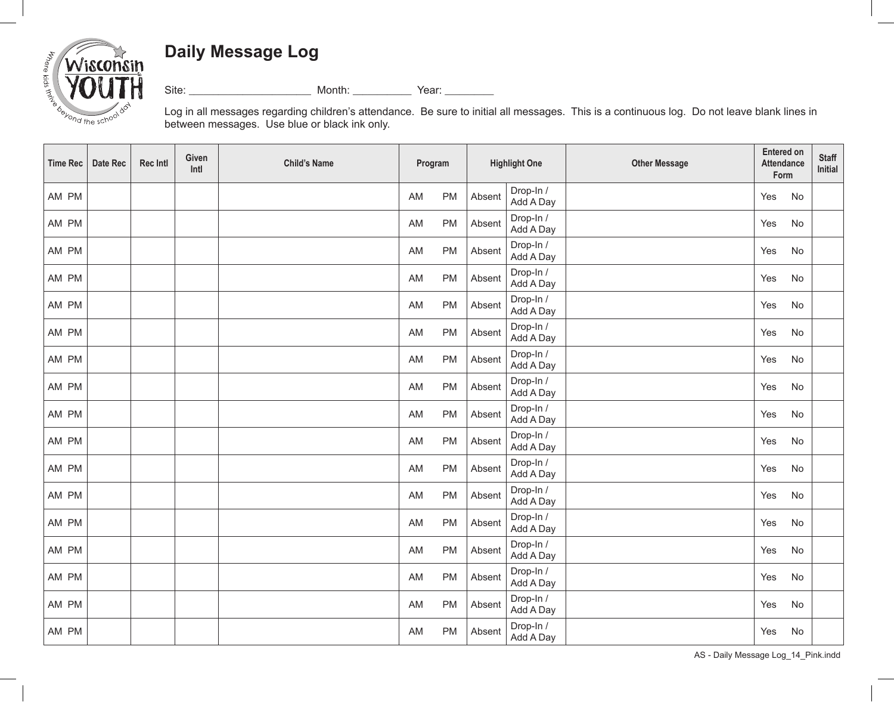## **Daily Message Log**



Site: \_\_\_\_\_\_\_\_\_\_\_\_\_\_\_\_\_\_\_\_\_\_\_\_\_ Month: \_\_\_\_\_\_\_\_\_\_\_\_ Year: \_\_\_\_\_\_\_\_\_\_

Log in all messages regarding children's attendance. Be sure to initial all messages. This is a continuous log. Do not leave blank lines in between messages. Use blue or black ink only.

| <b>Time Rec</b> | Date Rec | <b>Rec Intl</b> | Given<br>Intl | <b>Child's Name</b> | Program         | <b>Highlight One</b> |                        | <b>Other Message</b> | <b>Entered on</b><br><b>Attendance</b><br>Form |    | <b>Staff</b><br>Initial |
|-----------------|----------|-----------------|---------------|---------------------|-----------------|----------------------|------------------------|----------------------|------------------------------------------------|----|-------------------------|
| AM PM           |          |                 |               |                     | AM<br>PM        | Absent               | Drop-In /<br>Add A Day |                      | Yes                                            | No |                         |
| AM PM           |          |                 |               |                     | PM<br>AM        | Absent               | Drop-In /<br>Add A Day |                      | Yes                                            | No |                         |
| AM PM           |          |                 |               |                     | <b>PM</b><br>AM | Absent               | Drop-In /<br>Add A Day |                      | Yes                                            | No |                         |
| AM PM           |          |                 |               |                     | PM<br>AM        | Absent               | Drop-In /<br>Add A Day |                      | Yes                                            | No |                         |
| AM PM           |          |                 |               |                     | PM<br>AM        | Absent               | Drop-In /<br>Add A Day |                      | Yes                                            | No |                         |
| AM PM           |          |                 |               |                     | PM<br>AM        | Absent               | Drop-In /<br>Add A Day |                      | Yes                                            | No |                         |
| AM PM           |          |                 |               |                     | PM<br>AM        | Absent               | Drop-In /<br>Add A Day |                      | Yes                                            | No |                         |
| AM PM           |          |                 |               |                     | AM<br>PM        | Absent               | Drop-In /<br>Add A Day |                      | Yes                                            | No |                         |
| AM PM           |          |                 |               |                     | PM<br>AM        | Absent               | Drop-In /<br>Add A Day |                      | Yes                                            | No |                         |
| AM PM           |          |                 |               |                     | PM<br>AM        | Absent               | Drop-In /<br>Add A Day |                      | Yes                                            | No |                         |
| AM PM           |          |                 |               |                     | PM<br>AM        | Absent               | Drop-In /<br>Add A Day |                      | Yes                                            | No |                         |
| AM PM           |          |                 |               |                     | PM<br>AM        | Absent               | Drop-In /<br>Add A Day |                      | Yes                                            | No |                         |
| AM PM           |          |                 |               |                     | AM<br>PM        | Absent               | Drop-In /<br>Add A Day |                      | Yes                                            | No |                         |
| AM PM           |          |                 |               |                     | PM<br>AM        | Absent               | Drop-In /<br>Add A Day |                      | Yes                                            | No |                         |
| AM PM           |          |                 |               |                     | PM<br>AM        | Absent               | Drop-In /<br>Add A Day |                      | Yes                                            | No |                         |
| AM PM           |          |                 |               |                     | PM<br>AM        | Absent               | Drop-In /<br>Add A Day |                      | Yes                                            | No |                         |
| AM PM           |          |                 |               |                     | PM<br>AM        | Absent               | Drop-In /<br>Add A Day |                      | Yes                                            | No |                         |

AS - Daily Message Log\_14\_Pink.indd